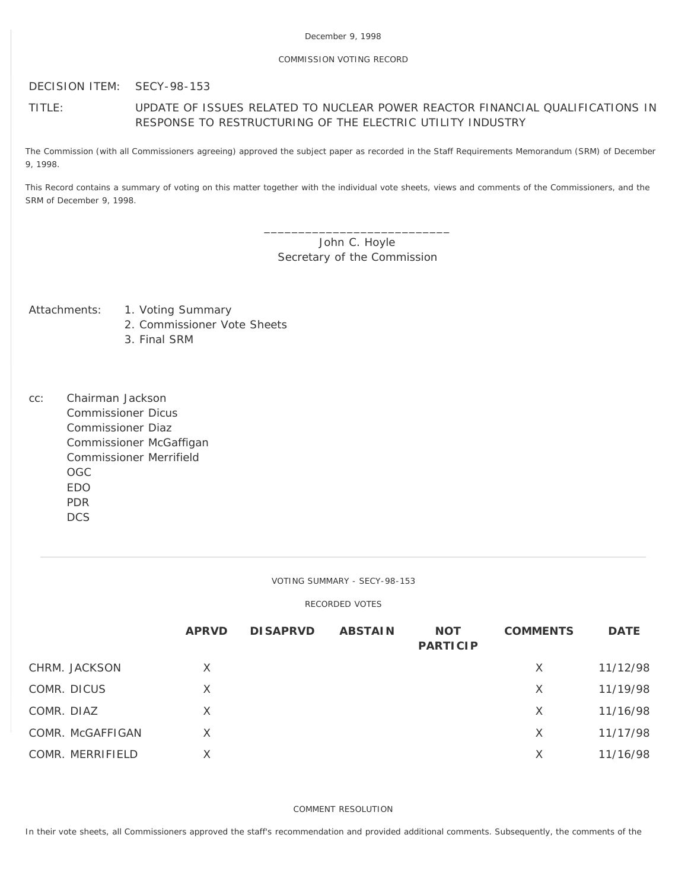## COMMISSION VOTING RECORD

DECISION ITEM: SECY-98-153

# TITLE: UPDATE OF ISSUES RELATED TO NUCLEAR POWER REACTOR FINANCIAL QUALIFICATIONS IN RESPONSE TO RESTRUCTURING OF THE ELECTRIC UTILITY INDUSTRY

The Commission (with all Commissioners agreeing) approved the subject paper as recorded in the Staff Requirements Memorandum (SRM) of December 9, 1998.

This Record contains a summary of voting on this matter together with the individual vote sheets, views and comments of the Commissioners, and the SRM of December 9, 1998.

> \_\_\_\_\_\_\_\_\_\_\_\_\_\_\_\_\_\_\_\_\_\_\_\_\_\_\_ John C. Hoyle Secretary of the Commission

- Attachments: 1. Voting Summary
	- 2. Commissioner Vote Sheets
	- 3. Final SRM
- cc: Chairman Jackson Commissioner Dicus Commissioner Diaz Commissioner McGaffigan Commissioner Merrifield OGC EDO PDR **DCS**

VOTING SUMMARY - SECY-98-153

## RECORDED VOTES

|             |                  | <b>APRVD</b> | <b>DISAPRVD</b> | <b>ABSTAIN</b> | <b>NOT</b><br><b>PARTICIP</b> | <b>COMMENTS</b> | <b>DATE</b> |
|-------------|------------------|--------------|-----------------|----------------|-------------------------------|-----------------|-------------|
|             | CHRM. JACKSON    | X            |                 |                |                               | X               | 11/12/98    |
| COMR. DICUS |                  | X            |                 |                |                               | X               | 11/19/98    |
| COMR. DIAZ  |                  | X            |                 |                |                               | X               | 11/16/98    |
|             | COMR. McGAFFIGAN | X            |                 |                |                               | X               | 11/17/98    |
|             | COMR. MERRIFIELD | X            |                 |                |                               | X               | 11/16/98    |

COMMENT RESOLUTION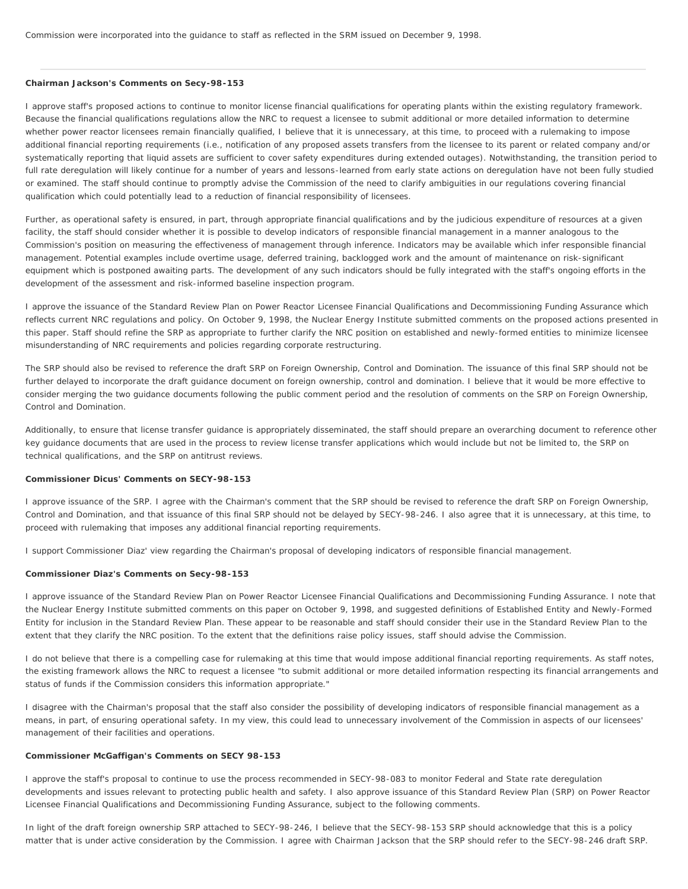#### **Chairman Jackson's Comments on Secy-98-153**

I approve staff's proposed actions to continue to monitor license financial qualifications for operating plants within the existing regulatory framework. Because the financial qualifications regulations allow the NRC to request a licensee to submit additional or more detailed information to determine whether power reactor licensees remain financially qualified, I believe that it is unnecessary, at this time, to proceed with a rulemaking to impose additional financial reporting requirements (i.e., notification of any proposed assets transfers from the licensee to its parent or related company and/or systematically reporting that liquid assets are sufficient to cover safety expenditures during extended outages). Notwithstanding, the transition period to full rate deregulation will likely continue for a number of years and lessons-learned from early state actions on deregulation have not been fully studied or examined. The staff should continue to promptly advise the Commission of the need to clarify ambiguities in our regulations covering financial qualification which could potentially lead to a reduction of financial responsibility of licensees.

Further, as operational safety is ensured, in part, through appropriate financial qualifications and by the judicious expenditure of resources at a given facility, the staff should consider whether it is possible to develop indicators of responsible financial management in a manner analogous to the Commission's position on measuring the effectiveness of management through inference. Indicators may be available which infer responsible financial management. Potential examples include overtime usage, deferred training, backlogged work and the amount of maintenance on risk-significant equipment which is postponed awaiting parts. The development of any such indicators should be fully integrated with the staff's ongoing efforts in the development of the assessment and risk-informed baseline inspection program.

I approve the issuance of the Standard Review Plan on Power Reactor Licensee Financial Qualifications and Decommissioning Funding Assurance which reflects current NRC regulations and policy. On October 9, 1998, the Nuclear Energy Institute submitted comments on the proposed actions presented in this paper. Staff should refine the SRP as appropriate to further clarify the NRC position on established and newly-formed entities to minimize licensee misunderstanding of NRC requirements and policies regarding corporate restructuring.

The SRP should also be revised to reference the draft SRP on Foreign Ownership, Control and Domination. The issuance of this final SRP should not be further delayed to incorporate the draft guidance document on foreign ownership, control and domination. I believe that it would be more effective to consider merging the two guidance documents following the public comment period and the resolution of comments on the SRP on Foreign Ownership, Control and Domination.

Additionally, to ensure that license transfer guidance is appropriately disseminated, the staff should prepare an overarching document to reference other key guidance documents that are used in the process to review license transfer applications which would include but not be limited to, the SRP on technical qualifications, and the SRP on antitrust reviews.

#### **Commissioner Dicus' Comments on SECY-98-153**

I approve issuance of the SRP. I agree with the Chairman's comment that the SRP should be revised to reference the draft SRP on Foreign Ownership, Control and Domination, and that issuance of this final SRP should not be delayed by SECY-98-246. I also agree that it is unnecessary, at this time, to proceed with rulemaking that imposes any additional financial reporting requirements.

I support Commissioner Diaz' view regarding the Chairman's proposal of developing indicators of responsible financial management.

#### **Commissioner Diaz's Comments on Secy-98-153**

I approve issuance of the Standard Review Plan on Power Reactor Licensee Financial Qualifications and Decommissioning Funding Assurance. I note that the Nuclear Energy Institute submitted comments on this paper on October 9, 1998, and suggested definitions of Established Entity and Newly-Formed Entity for inclusion in the Standard Review Plan. These appear to be reasonable and staff should consider their use in the Standard Review Plan to the extent that they clarify the NRC position. To the extent that the definitions raise policy issues, staff should advise the Commission.

I do not believe that there is a compelling case for rulemaking at this time that would impose additional financial reporting requirements. As staff notes, the existing framework allows the NRC to request a licensee "to submit additional or more detailed information respecting its financial arrangements and status of funds if the Commission considers this information appropriate."

I disagree with the Chairman's proposal that the staff also consider the possibility of developing indicators of responsible financial management as a means, in part, of ensuring operational safety. In my view, this could lead to unnecessary involvement of the Commission in aspects of our licensees' management of their facilities and operations.

#### **Commissioner McGaffigan's Comments on SECY 98-153**

I approve the staff's proposal to continue to use the process recommended in SECY-98-083 to monitor Federal and State rate deregulation developments and issues relevant to protecting public health and safety. I also approve issuance of this Standard Review Plan (SRP) on Power Reactor Licensee Financial Qualifications and Decommissioning Funding Assurance, subject to the following comments.

In light of the draft foreign ownership SRP attached to SECY-98-246, I believe that the SECY-98-153 SRP should acknowledge that this is a policy matter that is under active consideration by the Commission. I agree with Chairman Jackson that the SRP should refer to the SECY-98-246 draft SRP.